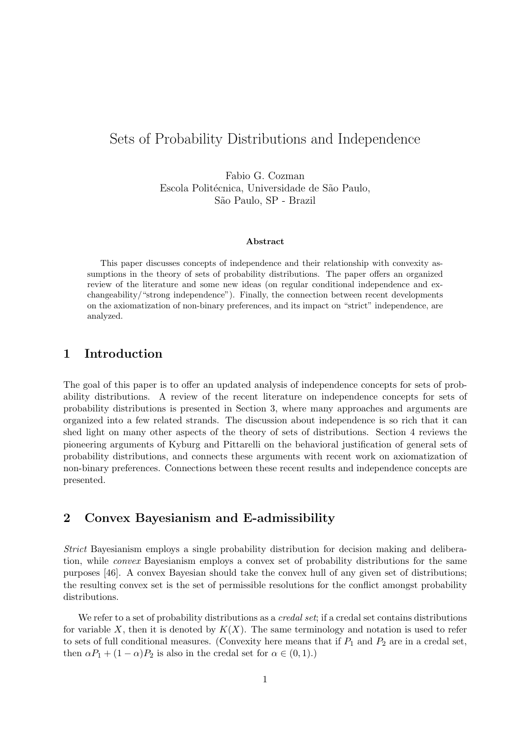# Sets of Probability Distributions and Independence

Fabio G. Cozman Escola Politécnica, Universidade de São Paulo, S˜ao Paulo, SP - Brazil

#### Abstract

This paper discusses concepts of independence and their relationship with convexity assumptions in the theory of sets of probability distributions. The paper offers an organized review of the literature and some new ideas (on regular conditional independence and exchangeability/"strong independence"). Finally, the connection between recent developments on the axiomatization of non-binary preferences, and its impact on "strict" independence, are analyzed.

# 1 Introduction

The goal of this paper is to offer an updated analysis of independence concepts for sets of probability distributions. A review of the recent literature on independence concepts for sets of probability distributions is presented in Section 3, where many approaches and arguments are organized into a few related strands. The discussion about independence is so rich that it can shed light on many other aspects of the theory of sets of distributions. Section 4 reviews the pioneering arguments of Kyburg and Pittarelli on the behavioral justification of general sets of probability distributions, and connects these arguments with recent work on axiomatization of non-binary preferences. Connections between these recent results and independence concepts are presented.

# 2 Convex Bayesianism and E-admissibility

Strict Bayesianism employs a single probability distribution for decision making and deliberation, while convex Bayesianism employs a convex set of probability distributions for the same purposes [46]. A convex Bayesian should take the convex hull of any given set of distributions; the resulting convex set is the set of permissible resolutions for the conflict amongst probability distributions.

We refer to a set of probability distributions as a *credal set*; if a credal set contains distributions for variable X, then it is denoted by  $K(X)$ . The same terminology and notation is used to refer to sets of full conditional measures. (Convexity here means that if  $P_1$  and  $P_2$  are in a credal set, then  $\alpha P_1 + (1 - \alpha)P_2$  is also in the credal set for  $\alpha \in (0, 1)$ .)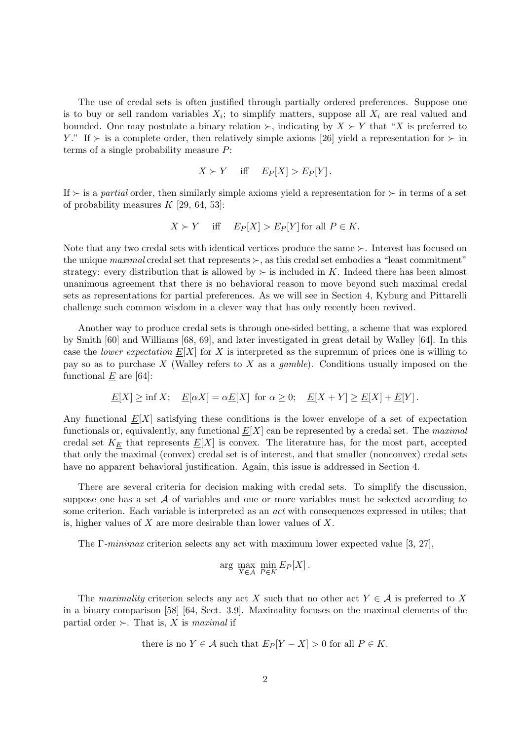The use of credal sets is often justified through partially ordered preferences. Suppose one is to buy or sell random variables  $X_i$ ; to simplify matters, suppose all  $X_i$  are real valued and bounded. One may postulate a binary relation  $\succ$ , indicating by  $X \succ Y$  that "X is preferred to Y." If  $\succ$  is a complete order, then relatively simple axioms [26] yield a representation for  $\succ$  in terms of a single probability measure P:

$$
X \succ Y \quad \text{ iff } \quad E_P[X] > E_P[Y].
$$

If  $\succ$  is a partial order, then similarly simple axioms yield a representation for  $\succ$  in terms of a set of probability measures  $K$  [29, 64, 53]:

$$
X \succ Y \quad \text{ iff } \quad E_P[X] > E_P[Y] \text{ for all } P \in K.
$$

Note that any two credal sets with identical vertices produce the same  $\succ$ . Interest has focused on the unique maximal credal set that represents  $\succ$ , as this credal set embodies a "least commitment" strategy: every distribution that is allowed by  $\succ$  is included in K. Indeed there has been almost unanimous agreement that there is no behavioral reason to move beyond such maximal credal sets as representations for partial preferences. As we will see in Section 4, Kyburg and Pittarelli challenge such common wisdom in a clever way that has only recently been revived.

Another way to produce credal sets is through one-sided betting, a scheme that was explored by Smith [60] and Williams [68, 69], and later investigated in great detail by Walley [64]. In this case the *lower expectation*  $E[X]$  for X is interpreted as the supremum of prices one is willing to pay so as to purchase X (Walley refers to X as a *qamble*). Conditions usually imposed on the functional  $\underline{E}$  are [64]:

$$
\underline{E}[X] \ge \inf X; \quad \underline{E}[\alpha X] = \alpha \underline{E}[X] \text{ for } \alpha \ge 0; \quad \underline{E}[X+Y] \ge \underline{E}[X] + \underline{E}[Y].
$$

Any functional  $\underline{E}[X]$  satisfying these conditions is the lower envelope of a set of expectation functionals or, equivalently, any functional  $E[X]$  can be represented by a credal set. The maximal credal set  $K_E$  that represents  $E[X]$  is convex. The literature has, for the most part, accepted that only the maximal (convex) credal set is of interest, and that smaller (nonconvex) credal sets have no apparent behavioral justification. Again, this issue is addressed in Section 4.

There are several criteria for decision making with credal sets. To simplify the discussion, suppose one has a set  $A$  of variables and one or more variables must be selected according to some criterion. Each variable is interpreted as an act with consequences expressed in utiles; that is, higher values of  $X$  are more desirable than lower values of  $X$ .

The Γ-minimax criterion selects any act with maximum lower expected value [3, 27],

$$
\arg\max_{X \in \mathcal{A}} \min_{P \in K} E_P[X].
$$

The maximality criterion selects any act X such that no other act  $Y \in \mathcal{A}$  is preferred to X in a binary comparison [58] [64, Sect. 3.9]. Maximality focuses on the maximal elements of the partial order  $\succ$ . That is, X is maximal if

there is no 
$$
Y \in \mathcal{A}
$$
 such that  $E_P[Y - X] > 0$  for all  $P \in K$ .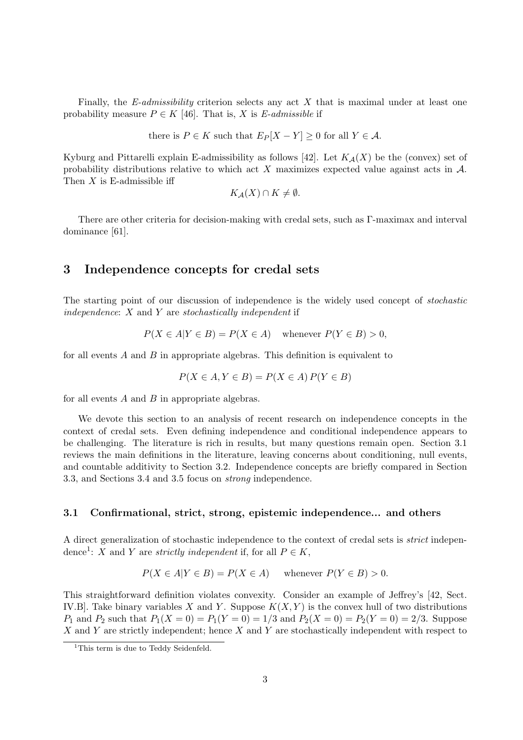Finally, the  $E$ -admissibility criterion selects any act X that is maximal under at least one probability measure  $P \in K$  [46]. That is, X is E-admissible if

there is  $P \in K$  such that  $E_P[X - Y] \geq 0$  for all  $Y \in \mathcal{A}$ .

Kyburg and Pittarelli explain E-admissibility as follows [42]. Let  $K_{\mathcal{A}}(X)$  be the (convex) set of probability distributions relative to which act X maximizes expected value against acts in  $\mathcal{A}$ . Then  $X$  is E-admissible iff

$$
K_{\mathcal{A}}(X) \cap K \neq \emptyset.
$$

There are other criteria for decision-making with credal sets, such as Γ-maximax and interval dominance [61].

# 3 Independence concepts for credal sets

The starting point of our discussion of independence is the widely used concept of stochastic independence:  $X$  and  $Y$  are stochastically independent if

$$
P(X \in A | Y \in B) = P(X \in A) \quad \text{whenever } P(Y \in B) > 0,
$$

for all events  $A$  and  $B$  in appropriate algebras. This definition is equivalent to

$$
P(X \in A, Y \in B) = P(X \in A) P(Y \in B)
$$

for all events  $A$  and  $B$  in appropriate algebras.

We devote this section to an analysis of recent research on independence concepts in the context of credal sets. Even defining independence and conditional independence appears to be challenging. The literature is rich in results, but many questions remain open. Section 3.1 reviews the main definitions in the literature, leaving concerns about conditioning, null events, and countable additivity to Section 3.2. Independence concepts are briefly compared in Section 3.3, and Sections 3.4 and 3.5 focus on strong independence.

## 3.1 Confirmational, strict, strong, epistemic independence... and others

A direct generalization of stochastic independence to the context of credal sets is strict independence<sup>1</sup>: X and Y are *strictly independent* if, for all  $P \in K$ ,

$$
P(X \in A | Y \in B) = P(X \in A) \quad \text{whenever } P(Y \in B) > 0.
$$

This straightforward definition violates convexity. Consider an example of Jeffrey's [42, Sect. IV.B. Take binary variables X and Y. Suppose  $K(X, Y)$  is the convex hull of two distributions  $P_1$  and  $P_2$  such that  $P_1(X = 0) = P_1(Y = 0) = 1/3$  and  $P_2(X = 0) = P_2(Y = 0) = 2/3$ . Suppose  $X$  and Y are strictly independent; hence  $X$  and Y are stochastically independent with respect to

<sup>&</sup>lt;sup>1</sup>This term is due to Teddy Seidenfeld.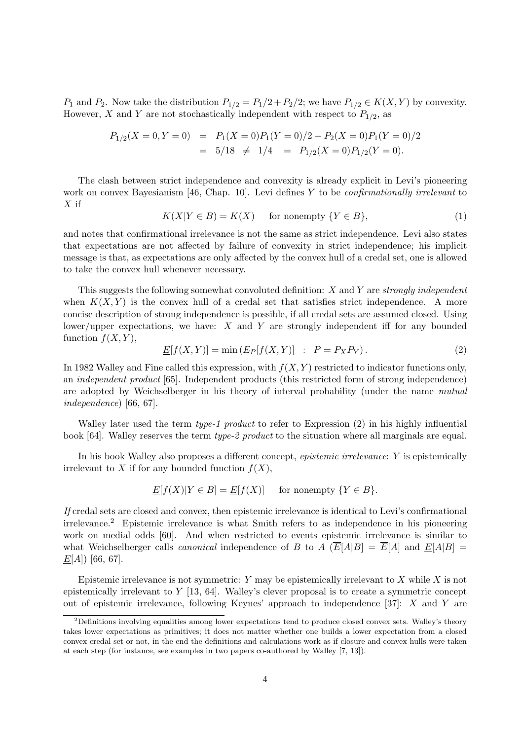$P_1$  and  $P_2$ . Now take the distribution  $P_{1/2} = P_1/2 + P_2/2$ ; we have  $P_{1/2} \in K(X, Y)$  by convexity. However, X and Y are not stochastically independent with respect to  $P_{1/2}$ , as

$$
P_{1/2}(X=0, Y=0) = P_1(X=0)P_1(Y=0)/2 + P_2(X=0)P_1(Y=0)/2
$$
  
= 5/18  $\neq$  1/4 =  $P_{1/2}(X=0)P_{1/2}(Y=0)$ .

The clash between strict independence and convexity is already explicit in Levi's pioneering work on convex Bayesianism [46, Chap. 10]. Levi defines Y to be *confirmationally irrelevant* to  $X$  if

$$
K(X|Y \in B) = K(X) \quad \text{ for nonempty } \{Y \in B\},\tag{1}
$$

and notes that confirmational irrelevance is not the same as strict independence. Levi also states that expectations are not affected by failure of convexity in strict independence; his implicit message is that, as expectations are only affected by the convex hull of a credal set, one is allowed to take the convex hull whenever necessary.

This suggests the following somewhat convoluted definition:  $X$  and  $Y$  are strongly independent when  $K(X, Y)$  is the convex hull of a credal set that satisfies strict independence. A more concise description of strong independence is possible, if all credal sets are assumed closed. Using lower/upper expectations, we have: X and Y are strongly independent iff for any bounded function  $f(X, Y)$ ,

$$
\underline{E}[f(X,Y)] = \min\left(E_P[f(X,Y)] : P = P_X P_Y\right). \tag{2}
$$

In 1982 Walley and Fine called this expression, with  $f(X, Y)$  restricted to indicator functions only, an independent product [65]. Independent products (this restricted form of strong independence) are adopted by Weichselberger in his theory of interval probability (under the name mutual independence) [66, 67].

Walley later used the term *type-1 product* to refer to Expression  $(2)$  in his highly influential book [64]. Walley reserves the term type-2 product to the situation where all marginals are equal.

In his book Walley also proposes a different concept, epistemic irrelevance: Y is epistemically irrelevant to X if for any bounded function  $f(X)$ ,

$$
\underline{E}[f(X)|Y \in B] = \underline{E}[f(X)] \quad \text{ for nonempty } \{Y \in B\}.
$$

If credal sets are closed and convex, then epistemic irrelevance is identical to Levi's confirmational irrelevance.<sup>2</sup> Epistemic irrelevance is what Smith refers to as independence in his pioneering work on medial odds [60]. And when restricted to events epistemic irrelevance is similar to what Weichselberger calls *canonical* independence of B to A  $(E[A|B] = \overline{E}[A]$  and  $E[A|B] =$  $\underline{E}[A]$  [66, 67].

Epistemic irrelevance is not symmetric: Y may be epistemically irrelevant to X while X is not epistemically irrelevant to Y [13, 64]. Walley's clever proposal is to create a symmetric concept out of epistemic irrelevance, following Keynes' approach to independence [37]: X and Y are

<sup>&</sup>lt;sup>2</sup>Definitions involving equalities among lower expectations tend to produce closed convex sets. Walley's theory takes lower expectations as primitives; it does not matter whether one builds a lower expectation from a closed convex credal set or not, in the end the definitions and calculations work as if closure and convex hulls were taken at each step (for instance, see examples in two papers co-authored by Walley [7, 13]).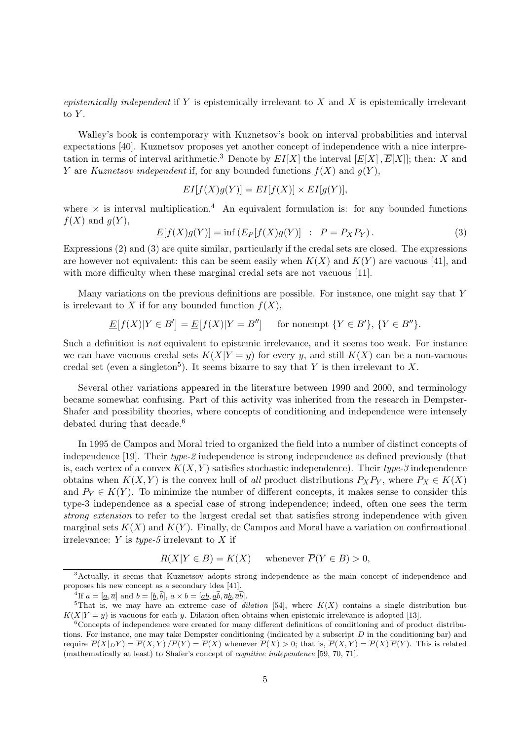epistemically independent if Y is epistemically irrelevant to X and X is epistemically irrelevant to  $Y$ .

Walley's book is contemporary with Kuznetsov's book on interval probabilities and interval expectations [40]. Kuznetsov proposes yet another concept of independence with a nice interpretation in terms of interval arithmetic.<sup>3</sup> Denote by  $EI[X]$  the interval  $[E[X], \overline{E}[X]]$ ; then: X and Y are Kuznetsov independent if, for any bounded functions  $f(X)$  and  $g(Y)$ ,

$$
EI[f(X)g(Y)] = EI[f(X)] \times EI[g(Y)],
$$

where  $\times$  is interval multiplication.<sup>4</sup> An equivalent formulation is: for any bounded functions  $f(X)$  and  $g(Y)$ ,

$$
\underline{E}[f(X)g(Y)] = \inf \left( E_P[f(X)g(Y)] \ : \ P = P_X P_Y \right). \tag{3}
$$

Expressions (2) and (3) are quite similar, particularly if the credal sets are closed. The expressions are however not equivalent: this can be seem easily when  $K(X)$  and  $K(Y)$  are vacuous [41], and with more difficulty when these marginal credal sets are not vacuous [11].

Many variations on the previous definitions are possible. For instance, one might say that  $Y$ is irrelevant to X if for any bounded function  $f(X)$ ,

$$
\underline{E}[f(X)|Y \in B'] = \underline{E}[f(X)|Y = B''] \quad \text{ for nonempty } \{Y \in B'\}, \{Y \in B''\}.
$$

Such a definition is not equivalent to epistemic irrelevance, and it seems too weak. For instance we can have vacuous credal sets  $K(X|Y=y)$  for every y, and still  $K(X)$  can be a non-vacuous credal set (even a singleton<sup>5</sup>). It seems bizarre to say that Y is then irrelevant to X.

Several other variations appeared in the literature between 1990 and 2000, and terminology became somewhat confusing. Part of this activity was inherited from the research in Dempster-Shafer and possibility theories, where concepts of conditioning and independence were intensely debated during that decade.<sup>6</sup>

In 1995 de Campos and Moral tried to organized the field into a number of distinct concepts of independence [19]. Their type-2 independence is strong independence as defined previously (that is, each vertex of a convex  $K(X, Y)$  satisfies stochastic independence). Their type-3 independence obtains when  $K(X, Y)$  is the convex hull of all product distributions  $P_XP_Y$ , where  $P_X \in K(X)$ and  $P_Y \in K(Y)$ . To minimize the number of different concepts, it makes sense to consider this type-3 independence as a special case of strong independence; indeed, often one sees the term strong extension to refer to the largest credal set that satisfies strong independence with given marginal sets  $K(X)$  and  $K(Y)$ . Finally, de Campos and Moral have a variation on confirmational irrelevance:  $Y$  is type-5 irrelevant to  $X$  if

$$
R(X|Y \in B) = K(X) \quad \text{ whenever } \overline{P}(Y \in B) > 0,
$$

<sup>3</sup>Actually, it seems that Kuznetsov adopts strong independence as the main concept of independence and proposes his new concept as a secondary idea [41].

<sup>&</sup>lt;sup>4</sup>If  $a = [\underline{a}, \overline{a}]$  and  $b = [\underline{b}, \overline{b}]$ ,  $a \times b = [\underline{ab}, \underline{a}\overline{b}, \overline{ab}, \overline{ab}]$ .

<sup>&</sup>lt;sup>5</sup>That is, we may have an extreme case of *dilation* [54], where  $K(X)$  contains a single distribution but  $K(X|Y = y)$  is vacuous for each y. Dilation often obtains when epistemic irrelevance is adopted [13].

 $6^6$ Concepts of independence were created for many different definitions of conditioning and of product distributions. For instance, one may take Dempster conditioning (indicated by a subscript  $D$  in the conditioning bar) and require  $\overline{P}(X|_D Y) = \overline{P}(X, Y) / \overline{P}(Y) = \overline{P}(X)$  whenever  $\overline{P}(X) > 0$ ; that is,  $\overline{P}(X, Y) = \overline{P}(X) \overline{P}(Y)$ . This is related (mathematically at least) to Shafer's concept of cognitive independence [59, 70, 71].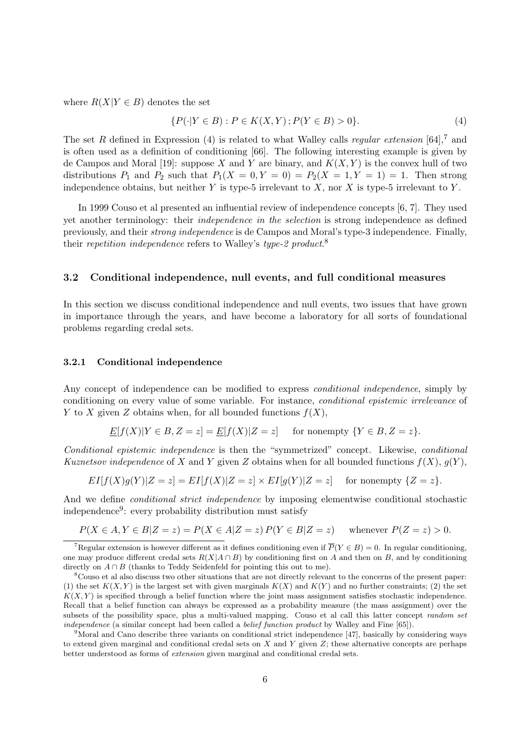where  $R(X|Y \in B)$  denotes the set

$$
\{P(\cdot|Y \in B) : P \in K(X, Y) ; P(Y \in B) > 0\}.
$$
\n(4)

The set R defined in Expression (4) is related to what Walley calls *regular extension* [64],<sup>7</sup> and is often used as a definition of conditioning [66]. The following interesting example is given by de Campos and Moral [19]: suppose X and Y are binary, and  $K(X, Y)$  is the convex hull of two distributions  $P_1$  and  $P_2$  such that  $P_1(X = 0, Y = 0) = P_2(X = 1, Y = 1) = 1$ . Then strong independence obtains, but neither  $Y$  is type-5 irrelevant to  $X$ , nor  $X$  is type-5 irrelevant to  $Y$ .

In 1999 Couso et al presented an influential review of independence concepts [6, 7]. They used yet another terminology: their independence in the selection is strong independence as defined previously, and their strong independence is de Campos and Moral's type-3 independence. Finally, their repetition independence refers to Walley's type-2 product.<sup>8</sup>

### 3.2 Conditional independence, null events, and full conditional measures

In this section we discuss conditional independence and null events, two issues that have grown in importance through the years, and have become a laboratory for all sorts of foundational problems regarding credal sets.

#### 3.2.1 Conditional independence

Any concept of independence can be modified to express *conditional independence*, simply by conditioning on every value of some variable. For instance, conditional epistemic irrelevance of Y to X given Z obtains when, for all bounded functions  $f(X)$ ,

$$
\underline{E}[f(X)|Y \in B, Z = z] = \underline{E}[f(X)|Z = z] \quad \text{for nonempty } \{Y \in B, Z = z\}.
$$

Conditional epistemic independence is then the "symmetrized" concept. Likewise, conditional Kuznetsov independence of X and Y given Z obtains when for all bounded functions  $f(X)$ ,  $g(Y)$ ,

$$
EI[f(X)g(Y)|Z=z] = EI[f(X)|Z=z] \times EI[g(Y)|Z=z]
$$
 for nonempty  $\{Z=z\}.$ 

And we define conditional strict independence by imposing elementwise conditional stochastic independence<sup>9</sup>: every probability distribution must satisfy

$$
P(X \in A, Y \in B | Z = z) = P(X \in A | Z = z) P(Y \in B | Z = z) \quad \text{whenever } P(Z = z) > 0.
$$

<sup>&</sup>lt;sup>7</sup>Regular extension is however different as it defines conditioning even if  $\overline{P}(Y \in B) = 0$ . In regular conditioning, one may produce different credal sets  $R(X|A \cap B)$  by conditioning first on A and then on B, and by conditioning directly on  $A \cap B$  (thanks to Teddy Seidenfeld for pointing this out to me).

<sup>8</sup>Couso et al also discuss two other situations that are not directly relevant to the concerns of the present paper: (1) the set  $K(X, Y)$  is the largest set with given marginals  $K(X)$  and  $K(Y)$  and no further constraints; (2) the set  $K(X, Y)$  is specified through a belief function where the joint mass assignment satisfies stochastic independence. Recall that a belief function can always be expressed as a probability measure (the mass assignment) over the subsets of the possibility space, plus a multi-valued mapping. Couso et al call this latter concept *random set* independence (a similar concept had been called a *belief function product* by Walley and Fine [65]).

<sup>9</sup>Moral and Cano describe three variants on conditional strict independence [47], basically by considering ways to extend given marginal and conditional credal sets on X and Y given Z; these alternative concepts are perhaps better understood as forms of extension given marginal and conditional credal sets.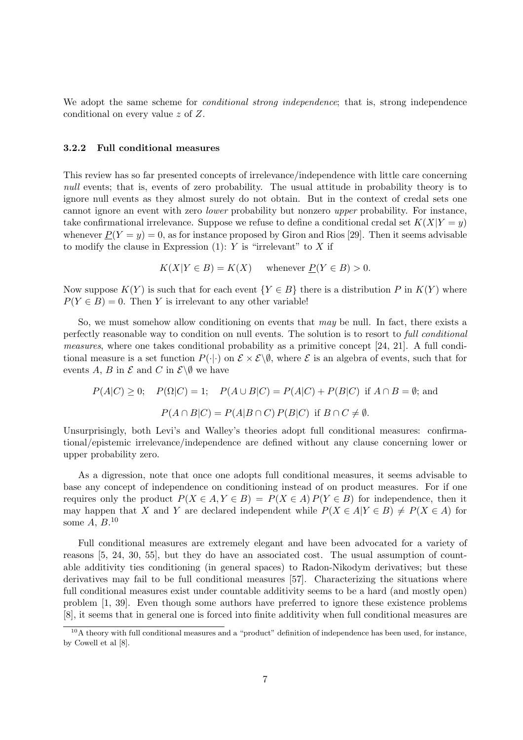We adopt the same scheme for *conditional strong independence*; that is, strong independence conditional on every value z of Z.

### 3.2.2 Full conditional measures

This review has so far presented concepts of irrelevance/independence with little care concerning null events; that is, events of zero probability. The usual attitude in probability theory is to ignore null events as they almost surely do not obtain. But in the context of credal sets one cannot ignore an event with zero lower probability but nonzero upper probability. For instance, take confirmational irrelevance. Suppose we refuse to define a conditional credal set  $K(X|Y=y)$ whenever  $\underline{P}(Y = y) = 0$ , as for instance proposed by Giron and Rios [29]. Then it seems advisable to modify the clause in Expression  $(1)$ : Y is "irrelevant" to X if

$$
K(X|Y \in B) = K(X) \quad \text{whenever } \underline{P}(Y \in B) > 0.
$$

Now suppose  $K(Y)$  is such that for each event  ${Y \in B}$  there is a distribution P in  $K(Y)$  where  $P(Y \in B) = 0$ . Then Y is irrelevant to any other variable!

So, we must somehow allow conditioning on events that may be null. In fact, there exists a perfectly reasonable way to condition on null events. The solution is to resort to full conditional measures, where one takes conditional probability as a primitive concept [24, 21]. A full conditional measure is a set function  $P(\cdot|\cdot)$  on  $\mathcal{E} \times \mathcal{E} \backslash \emptyset$ , where  $\mathcal{E}$  is an algebra of events, such that for events A, B in  $\mathcal E$  and C in  $\mathcal E\backslash\emptyset$  we have

$$
P(A|C) \ge 0; \quad P(\Omega|C) = 1; \quad P(A \cup B|C) = P(A|C) + P(B|C) \text{ if } A \cap B = \emptyset; \text{ and}
$$

$$
P(A \cap B|C) = P(A|B \cap C) P(B|C) \text{ if } B \cap C \ne \emptyset.
$$

Unsurprisingly, both Levi's and Walley's theories adopt full conditional measures: confirmational/epistemic irrelevance/independence are defined without any clause concerning lower or upper probability zero.

As a digression, note that once one adopts full conditional measures, it seems advisable to base any concept of independence on conditioning instead of on product measures. For if one requires only the product  $P(X \in A, Y \in B) = P(X \in A) P(Y \in B)$  for independence, then it may happen that X and Y are declared independent while  $P(X \in A|Y \in B) \neq P(X \in A)$  for some  $A, B$ .<sup>10</sup>

Full conditional measures are extremely elegant and have been advocated for a variety of reasons [5, 24, 30, 55], but they do have an associated cost. The usual assumption of countable additivity ties conditioning (in general spaces) to Radon-Nikodym derivatives; but these derivatives may fail to be full conditional measures [57]. Characterizing the situations where full conditional measures exist under countable additivity seems to be a hard (and mostly open) problem [1, 39]. Even though some authors have preferred to ignore these existence problems [8], it seems that in general one is forced into finite additivity when full conditional measures are

<sup>&</sup>lt;sup>10</sup>A theory with full conditional measures and a "product" definition of independence has been used, for instance, by Cowell et al [8].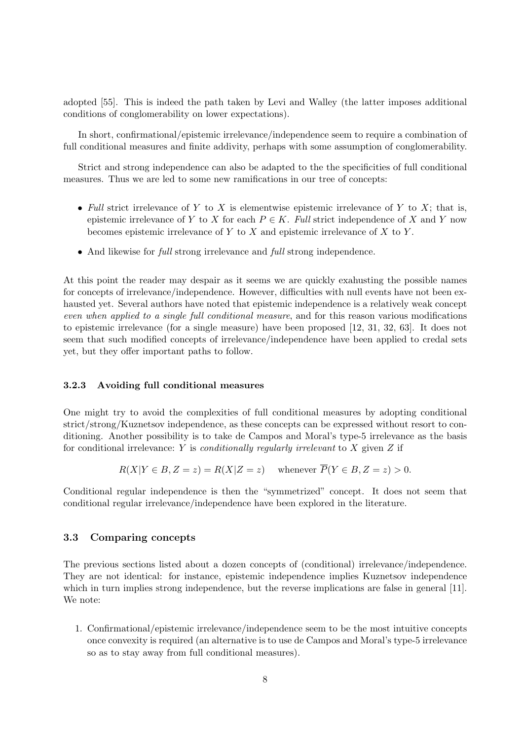adopted [55]. This is indeed the path taken by Levi and Walley (the latter imposes additional conditions of conglomerability on lower expectations).

In short, confirmational/epistemic irrelevance/independence seem to require a combination of full conditional measures and finite addivity, perhaps with some assumption of conglomerability.

Strict and strong independence can also be adapted to the the specificities of full conditional measures. Thus we are led to some new ramifications in our tree of concepts:

- Full strict irrelevance of Y to X is elementwise epistemic irrelevance of Y to X; that is, epistemic irrelevance of Y to X for each  $P \in K$ . Full strict independence of X and Y now becomes epistemic irrelevance of  $Y$  to  $X$  and epistemic irrelevance of  $X$  to  $Y$ .
- And likewise for *full* strong irrelevance and *full* strong independence.

At this point the reader may despair as it seems we are quickly exahusting the possible names for concepts of irrelevance/independence. However, difficulties with null events have not been exhausted yet. Several authors have noted that epistemic independence is a relatively weak concept even when applied to a single full conditional measure, and for this reason various modifications to epistemic irrelevance (for a single measure) have been proposed [12, 31, 32, 63]. It does not seem that such modified concepts of irrelevance/independence have been applied to credal sets yet, but they offer important paths to follow.

#### 3.2.3 Avoiding full conditional measures

One might try to avoid the complexities of full conditional measures by adopting conditional strict/strong/Kuznetsov independence, as these concepts can be expressed without resort to conditioning. Another possibility is to take de Campos and Moral's type-5 irrelevance as the basis for conditional irrelevance: Y is *conditionally regularly irrelevant* to X given  $Z$  if

$$
R(X|Y \in B, Z = z) = R(X|Z = z) \quad \text{whenever } \overline{P}(Y \in B, Z = z) > 0.
$$

Conditional regular independence is then the "symmetrized" concept. It does not seem that conditional regular irrelevance/independence have been explored in the literature.

## 3.3 Comparing concepts

The previous sections listed about a dozen concepts of (conditional) irrelevance/independence. They are not identical: for instance, epistemic independence implies Kuznetsov independence which in turn implies strong independence, but the reverse implications are false in general [11]. We note:

1. Confirmational/epistemic irrelevance/independence seem to be the most intuitive concepts once convexity is required (an alternative is to use de Campos and Moral's type-5 irrelevance so as to stay away from full conditional measures).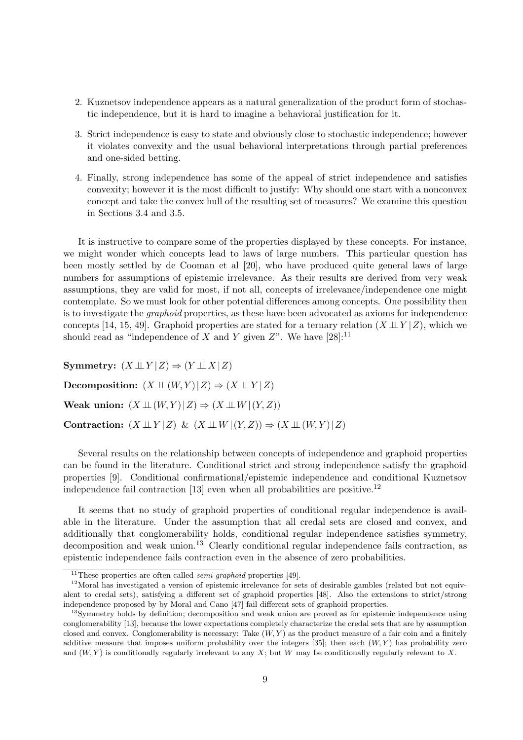- 2. Kuznetsov independence appears as a natural generalization of the product form of stochastic independence, but it is hard to imagine a behavioral justification for it.
- 3. Strict independence is easy to state and obviously close to stochastic independence; however it violates convexity and the usual behavioral interpretations through partial preferences and one-sided betting.
- 4. Finally, strong independence has some of the appeal of strict independence and satisfies convexity; however it is the most difficult to justify: Why should one start with a nonconvex concept and take the convex hull of the resulting set of measures? We examine this question in Sections 3.4 and 3.5.

It is instructive to compare some of the properties displayed by these concepts. For instance, we might wonder which concepts lead to laws of large numbers. This particular question has been mostly settled by de Cooman et al [20], who have produced quite general laws of large numbers for assumptions of epistemic irrelevance. As their results are derived from very weak assumptions, they are valid for most, if not all, concepts of irrelevance/independence one might contemplate. So we must look for other potential differences among concepts. One possibility then is to investigate the graphoid properties, as these have been advocated as axioms for independence concepts [14, 15, 49]. Graphoid properties are stated for a ternary relation  $(X \perp Y | Z)$ , which we should read as "independence of X and Y given  $Z$ ". We have [28]:<sup>11</sup>

Symmetry:  $(X \perp\!\!\!\perp Y | Z) \Rightarrow (Y \perp\!\!\!\perp X | Z)$ Decomposition:  $(X \perp\!\!\!\perp (W, Y) \mid Z) \Rightarrow (X \perp\!\!\!\perp Y \mid Z)$ Weak union:  $(X \perp\!\!\!\perp (W, Y) \mid Z) \Rightarrow (X \perp\!\!\!\perp W \mid (Y, Z))$ Contraction:  $(X \perp\!\!\!\perp Y | Z) \& (X \perp\!\!\!\perp W | (Y, Z)) \Rightarrow (X \perp\!\!\!\perp (W, Y) | Z)$ 

Several results on the relationship between concepts of independence and graphoid properties can be found in the literature. Conditional strict and strong independence satisfy the graphoid properties [9]. Conditional confirmational/epistemic independence and conditional Kuznetsov independence fail contraction [13] even when all probabilities are positive.<sup>12</sup>

It seems that no study of graphoid properties of conditional regular independence is available in the literature. Under the assumption that all credal sets are closed and convex, and additionally that conglomerability holds, conditional regular independence satisfies symmetry, decomposition and weak union.<sup>13</sup> Clearly conditional regular independence fails contraction, as epistemic independence fails contraction even in the absence of zero probabilities.

 $11$ These properties are often called *semi-graphoid* properties [49].

 $12$ Moral has investigated a version of epistemic irrelevance for sets of desirable gambles (related but not equivalent to credal sets), satisfying a different set of graphoid properties [48]. Also the extensions to strict/strong independence proposed by by Moral and Cano [47] fail different sets of graphoid properties.

<sup>&</sup>lt;sup>13</sup>Symmetry holds by definition; decomposition and weak union are proved as for epistemic independence using conglomerability [13], because the lower expectations completely characterize the credal sets that are by assumption closed and convex. Conglomerability is necessary: Take  $(W, Y)$  as the product measure of a fair coin and a finitely additive measure that imposes uniform probability over the integers  $[35]$ ; then each  $(W, Y)$  has probability zero and  $(W, Y)$  is conditionally regularly irrelevant to any X; but W may be conditionally regularly relevant to X.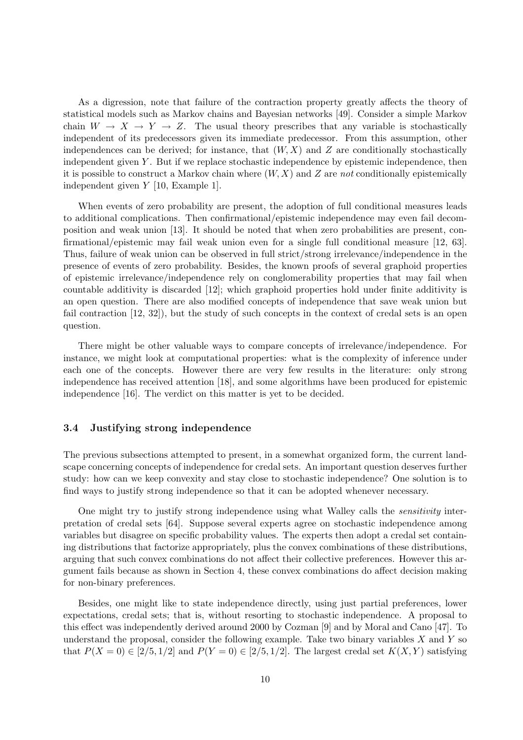As a digression, note that failure of the contraction property greatly affects the theory of statistical models such as Markov chains and Bayesian networks [49]. Consider a simple Markov chain  $W \to X \to Y \to Z$ . The usual theory prescribes that any variable is stochastically independent of its predecessors given its immediate predecessor. From this assumption, other independences can be derived; for instance, that  $(W, X)$  and Z are conditionally stochastically independent given Y. But if we replace stochastic independence by epistemic independence, then it is possible to construct a Markov chain where  $(W, X)$  and Z are not conditionally epistemically independent given Y [10, Example 1].

When events of zero probability are present, the adoption of full conditional measures leads to additional complications. Then confirmational/epistemic independence may even fail decomposition and weak union [13]. It should be noted that when zero probabilities are present, confirmational/epistemic may fail weak union even for a single full conditional measure [12, 63]. Thus, failure of weak union can be observed in full strict/strong irrelevance/independence in the presence of events of zero probability. Besides, the known proofs of several graphoid properties of epistemic irrelevance/independence rely on conglomerability properties that may fail when countable additivity is discarded [12]; which graphoid properties hold under finite additivity is an open question. There are also modified concepts of independence that save weak union but fail contraction [12, 32]), but the study of such concepts in the context of credal sets is an open question.

There might be other valuable ways to compare concepts of irrelevance/independence. For instance, we might look at computational properties: what is the complexity of inference under each one of the concepts. However there are very few results in the literature: only strong independence has received attention [18], and some algorithms have been produced for epistemic independence [16]. The verdict on this matter is yet to be decided.

## 3.4 Justifying strong independence

The previous subsections attempted to present, in a somewhat organized form, the current landscape concerning concepts of independence for credal sets. An important question deserves further study: how can we keep convexity and stay close to stochastic independence? One solution is to find ways to justify strong independence so that it can be adopted whenever necessary.

One might try to justify strong independence using what Walley calls the sensitivity interpretation of credal sets [64]. Suppose several experts agree on stochastic independence among variables but disagree on specific probability values. The experts then adopt a credal set containing distributions that factorize appropriately, plus the convex combinations of these distributions, arguing that such convex combinations do not affect their collective preferences. However this argument fails because as shown in Section 4, these convex combinations do affect decision making for non-binary preferences.

Besides, one might like to state independence directly, using just partial preferences, lower expectations, credal sets; that is, without resorting to stochastic independence. A proposal to this effect was independently derived around 2000 by Cozman [9] and by Moral and Cano [47]. To understand the proposal, consider the following example. Take two binary variables  $X$  and  $Y$  so that  $P(X = 0) \in [2/5, 1/2]$  and  $P(Y = 0) \in [2/5, 1/2]$ . The largest credal set  $K(X, Y)$  satisfying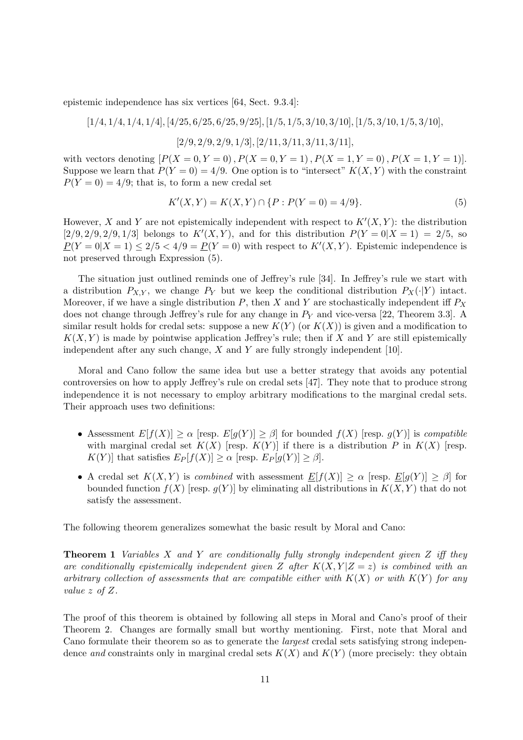epistemic independence has six vertices [64, Sect. 9.3.4]:

$$
[1/4, 1/4, 1/4, 1/4], [4/25, 6/25, 6/25, 9/25], [1/5, 1/5, 3/10, 3/10], [1/5, 3/10, 1/5, 3/10],
$$
  

$$
[2/9, 2/9, 2/9, 1/3], [2/11, 3/11, 3/11, 3/11],
$$

with vectors denoting  $[P(X = 0, Y = 0), P(X = 0, Y = 1), P(X = 1, Y = 0), P(X = 1, Y = 1)].$ Suppose we learn that  $P(Y = 0) = 4/9$ . One option is to "intersect"  $K(X, Y)$  with the constraint  $P(Y = 0) = 4/9$ ; that is, to form a new credal set

$$
K'(X,Y) = K(X,Y) \cap \{P : P(Y=0) = 4/9\}.
$$
\n(5)

However, X and Y are not epistemically independent with respect to  $K'(X, Y)$ : the distribution  $[2/9, 2/9, 2/9, 1/3]$  belongs to  $K'(X, Y)$ , and for this distribution  $P(Y = 0|X = 1) = 2/5$ , so  $P(Y=0|X=1) \leq 2/5 < 4/9 = P(Y=0)$  with respect to  $K'(X,Y)$ . Epistemic independence is not preserved through Expression (5).

The situation just outlined reminds one of Jeffrey's rule [34]. In Jeffrey's rule we start with a distribution  $P_{X,Y}$ , we change  $P_Y$  but we keep the conditional distribution  $P_X(\cdot|Y)$  intact. Moreover, if we have a single distribution  $P$ , then X and Y are stochastically independent iff  $P_X$ does not change through Jeffrey's rule for any change in  $P<sub>Y</sub>$  and vice-versa [22, Theorem 3.3]. A similar result holds for credal sets: suppose a new  $K(Y)$  (or  $K(X)$ ) is given and a modification to  $K(X, Y)$  is made by pointwise application Jeffrey's rule; then if X and Y are still epistemically independent after any such change,  $X$  and  $Y$  are fully strongly independent [10].

Moral and Cano follow the same idea but use a better strategy that avoids any potential controversies on how to apply Jeffrey's rule on credal sets [47]. They note that to produce strong independence it is not necessary to employ arbitrary modifications to the marginal credal sets. Their approach uses two definitions:

- Assessment  $E[f(X)] \ge \alpha$  [resp.  $E[g(Y)] \ge \beta$ ] for bounded  $f(X)$  [resp.  $g(Y)$ ] is compatible with marginal credal set  $K(X)$  [resp.  $K(Y)$ ] if there is a distribution P in  $K(X)$  [resp.  $K(Y)$  that satisfies  $E_P[f(X)] \geq \alpha$  [resp.  $E_P[g(Y)] \geq \beta$ ].
- A credal set  $K(X, Y)$  is *combined* with assessment  $E[f(X)] \ge \alpha$  [resp.  $E[g(Y)] \ge \beta$ ] for bounded function  $f(X)$  [resp.  $g(Y)$ ] by eliminating all distributions in  $K(X, Y)$  that do not satisfy the assessment.

The following theorem generalizes somewhat the basic result by Moral and Cano:

**Theorem 1** Variables X and Y are conditionally fully strongly independent given Z iff they are conditionally epistemically independent given Z after  $K(X, Y|Z=z)$  is combined with an arbitrary collection of assessments that are compatible either with  $K(X)$  or with  $K(Y)$  for any value z of Z.

The proof of this theorem is obtained by following all steps in Moral and Cano's proof of their Theorem 2. Changes are formally small but worthy mentioning. First, note that Moral and Cano formulate their theorem so as to generate the largest credal sets satisfying strong independence and constraints only in marginal credal sets  $K(X)$  and  $K(Y)$  (more precisely: they obtain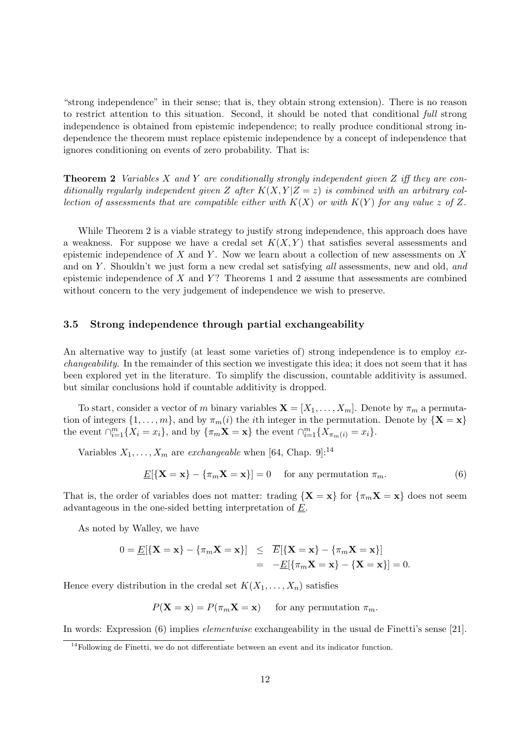"strong independence" in their sense; that is, they obtain strong extension). There is no reason to restrict attention to this situation. Second, it should be noted that conditional full strong independence is obtained from epistemic independence; to really produce conditional strong independence the theorem must replace epistemic independence by a concept of independence that ignores conditioning on events of zero probability. That is:

**Theorem 2** Variables X and Y are conditionally strongly independent given Z iff they are conditionally regularly independent given Z after  $K(X, Y|Z=z)$  is combined with an arbitrary collection of assessments that are compatible either with  $K(X)$  or with  $K(Y)$  for any value z of Z.

While Theorem 2 is a viable strategy to justify strong independence, this approach does have a weakness. For suppose we have a credal set  $K(X, Y)$  that satisfies several assessments and epistemic independence of  $X$  and  $Y$ . Now we learn about a collection of new assessments on  $X$ and on Y. Shouldn't we just form a new credal set satisfying all assessments, new and old, and epistemic independence of X and Y? Theorems 1 and 2 assume that assessments are combined without concern to the very judgement of independence we wish to preserve.

## 3.5 Strong independence through partial exchangeability

An alternative way to justify (at least some varieties of) strong independence is to employ exchangeability. In the remainder of this section we investigate this idea; it does not seem that it has been explored yet in the literature. To simplify the discussion, countable additivity is assumed. but similar conclusions hold if countable additivity is dropped.

To start, consider a vector of m binary variables  $\mathbf{X} = [X_1, \ldots, X_m]$ . Denote by  $\pi_m$  a permutation of integers  $\{1, \ldots, m\}$ , and by  $\pi_m(i)$  the *i*th integer in the permutation. Denote by  $\{X = x\}$ the event  $\bigcap_{i=1}^m \{X_i = x_i\}$ , and by  $\{\pi_m \mathbf{X} = \mathbf{x}\}\$ the event  $\bigcap_{i=1}^m \{X_{\pi_m(i)} = x_i\}.$ 

Variables  $X_1, \ldots, X_m$  are *exchangeable* when [64, Chap. 9]:<sup>14</sup>

$$
\underline{E}[\{\mathbf{X} = \mathbf{x}\} - \{\pi_m \mathbf{X} = \mathbf{x}\}] = 0 \quad \text{for any permutation } \pi_m.
$$
 (6)

That is, the order of variables does not matter: trading  $\{X = x\}$  for  $\{\pi_m X = x\}$  does not seem advantageous in the one-sided betting interpretation of E.

As noted by Walley, we have

$$
0 = \underline{E}[\{\mathbf{X} = \mathbf{x}\} - \{\pi_m \mathbf{X} = \mathbf{x}\}] \leq \overline{E}[\{\mathbf{X} = \mathbf{x}\} - \{\pi_m \mathbf{X} = \mathbf{x}\}]
$$
  
= 
$$
-\underline{E}[\{\pi_m \mathbf{X} = \mathbf{x}\} - \{\mathbf{X} = \mathbf{x}\}] = 0.
$$

Hence every distribution in the credal set  $K(X_1, \ldots, X_n)$  satisfies

 $P(\mathbf{X} = \mathbf{x}) = P(\pi_m \mathbf{X} = \mathbf{x})$  for any permutation  $\pi_m$ .

In words: Expression (6) implies elementwise exchangeability in the usual de Finetti's sense [21].

<sup>&</sup>lt;sup>14</sup>Following de Finetti, we do not differentiate between an event and its indicator function.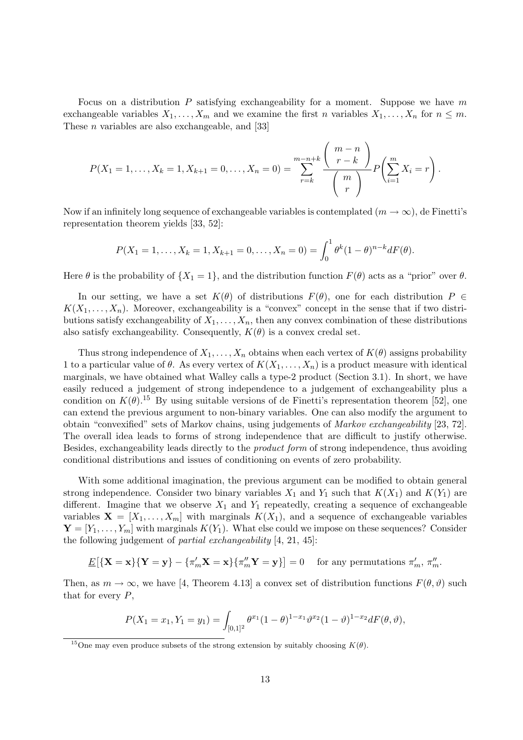Focus on a distribution P satisfying exchangeability for a moment. Suppose we have m exchangeable variables  $X_1, \ldots, X_m$  and we examine the first n variables  $X_1, \ldots, X_n$  for  $n \leq m$ . These n variables are also exchangeable, and [33]

$$
P(X_1 = 1, ..., X_k = 1, X_{k+1} = 0, ..., X_n = 0) = \sum_{r=k}^{m-n+k} \frac{\binom{m-n}{r-k}}{\binom{m}{r}} P\left(\sum_{i=1}^m X_i = r\right).
$$

Now if an infinitely long sequence of exchangeable variables is contemplated  $(m \to \infty)$ , de Finetti's representation theorem yields [33, 52]:

$$
P(X_1 = 1, ..., X_k = 1, X_{k+1} = 0, ..., X_n = 0) = \int_0^1 \theta^k (1 - \theta)^{n-k} dF(\theta).
$$

Here  $\theta$  is the probability of  $\{X_1 = 1\}$ , and the distribution function  $F(\theta)$  acts as a "prior" over  $\theta$ .

In our setting, we have a set  $K(\theta)$  of distributions  $F(\theta)$ , one for each distribution  $P \in$  $K(X_1, \ldots, X_n)$ . Moreover, exchangeability is a "convex" concept in the sense that if two distributions satisfy exchangeability of  $X_1, \ldots, X_n$ , then any convex combination of these distributions also satisfy exchangeability. Consequently,  $K(\theta)$  is a convex credal set.

Thus strong independence of  $X_1, \ldots, X_n$  obtains when each vertex of  $K(\theta)$  assigns probability 1 to a particular value of  $\theta$ . As every vertex of  $K(X_1, \ldots, X_n)$  is a product measure with identical marginals, we have obtained what Walley calls a type-2 product (Section 3.1). In short, we have easily reduced a judgement of strong independence to a judgement of exchangeability plus a condition on  $K(\theta)$ .<sup>15</sup> By using suitable versions of de Finetti's representation theorem [52], one can extend the previous argument to non-binary variables. One can also modify the argument to obtain "convexified" sets of Markov chains, using judgements of Markov exchangeability [23, 72]. The overall idea leads to forms of strong independence that are difficult to justify otherwise. Besides, exchangeability leads directly to the product form of strong independence, thus avoiding conditional distributions and issues of conditioning on events of zero probability.

With some additional imagination, the previous argument can be modified to obtain general strong independence. Consider two binary variables  $X_1$  and  $Y_1$  such that  $K(X_1)$  and  $K(Y_1)$  are different. Imagine that we observe  $X_1$  and  $Y_1$  repeatedly, creating a sequence of exchangeable variables  $\mathbf{X} = [X_1, \ldots, X_m]$  with marginals  $K(X_1)$ , and a sequence of exchangeable variables  $\mathbf{Y} = [Y_1, \ldots, Y_m]$  with marginals  $K(Y_1)$ . What else could we impose on these sequences? Consider the following judgement of partial exchangeability [4, 21, 45]:

$$
\underline{E}[\{\mathbf{X}=\mathbf{x}\}\{\mathbf{Y}=\mathbf{y}\}-\{\pi'_m\mathbf{X}=\mathbf{x}\}\{\pi''_m\mathbf{Y}=\mathbf{y}\}] = 0 \text{ for any permutations } \pi'_m, \pi''_m.
$$

Then, as  $m \to \infty$ , we have [4, Theorem 4.13] a convex set of distribution functions  $F(\theta, \vartheta)$  such that for every  $P$ ,

$$
P(X_1 = x_1, Y_1 = y_1) = \int_{[0,1]^2} \theta^{x_1} (1 - \theta)^{1 - x_1} \vartheta^{x_2} (1 - \vartheta)^{1 - x_2} dF(\theta, \vartheta),
$$

<sup>&</sup>lt;sup>15</sup>One may even produce subsets of the strong extension by suitably choosing  $K(\theta)$ .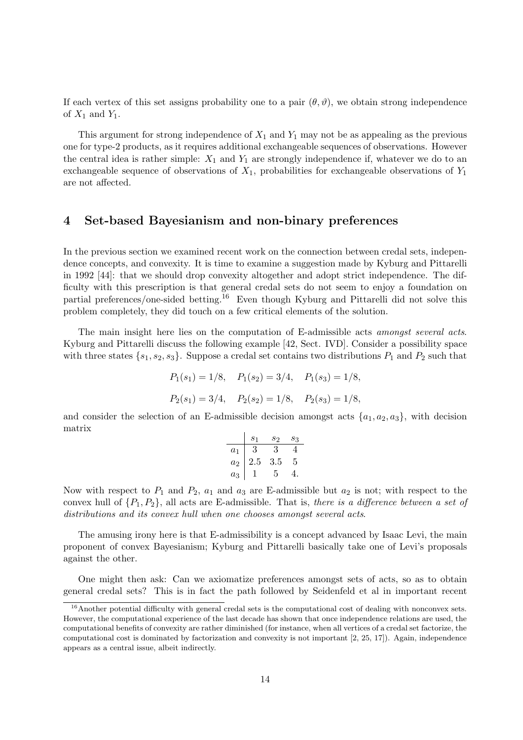If each vertex of this set assigns probability one to a pair  $(\theta, \vartheta)$ , we obtain strong independence of  $X_1$  and  $Y_1$ .

This argument for strong independence of  $X_1$  and  $Y_1$  may not be as appealing as the previous one for type-2 products, as it requires additional exchangeable sequences of observations. However the central idea is rather simple:  $X_1$  and  $Y_1$  are strongly independence if, whatever we do to an exchangeable sequence of observations of  $X_1$ , probabilities for exchangeable observations of  $Y_1$ are not affected.

## 4 Set-based Bayesianism and non-binary preferences

In the previous section we examined recent work on the connection between credal sets, independence concepts, and convexity. It is time to examine a suggestion made by Kyburg and Pittarelli in 1992 [44]: that we should drop convexity altogether and adopt strict independence. The difficulty with this prescription is that general credal sets do not seem to enjoy a foundation on partial preferences/one-sided betting.<sup>16</sup> Even though Kyburg and Pittarelli did not solve this problem completely, they did touch on a few critical elements of the solution.

The main insight here lies on the computation of E-admissible acts amongst several acts. Kyburg and Pittarelli discuss the following example [42, Sect. IVD]. Consider a possibility space with three states  $\{s_1, s_2, s_3\}$ . Suppose a credal set contains two distributions  $P_1$  and  $P_2$  such that

$$
P_1(s_1) = 1/8
$$
,  $P_1(s_2) = 3/4$ ,  $P_1(s_3) = 1/8$ ,  
 $P_2(s_1) = 3/4$ ,  $P_2(s_2) = 1/8$ ,  $P_2(s_3) = 1/8$ ,

and consider the selection of an E-admissible decision amongst acts  $\{a_1, a_2, a_3\}$ , with decision matrix

|       | $^{S_1}$ | S9  | $s_3$ |
|-------|----------|-----|-------|
| $a_1$ |          | 3   |       |
| $a_2$ | $2.5\,$  | 3.5 | 5     |
| $a_3$ |          | 5   |       |

Now with respect to  $P_1$  and  $P_2$ ,  $a_1$  and  $a_3$  are E-admissible but  $a_2$  is not; with respect to the convex hull of  $\{P_1, P_2\}$ , all acts are E-admissible. That is, there is a difference between a set of distributions and its convex hull when one chooses amongst several acts.

The amusing irony here is that E-admissibility is a concept advanced by Isaac Levi, the main proponent of convex Bayesianism; Kyburg and Pittarelli basically take one of Levi's proposals against the other.

One might then ask: Can we axiomatize preferences amongst sets of acts, so as to obtain general credal sets? This is in fact the path followed by Seidenfeld et al in important recent

 $16$ Another potential difficulty with general credal sets is the computational cost of dealing with nonconvex sets. However, the computational experience of the last decade has shown that once independence relations are used, the computational benefits of convexity are rather diminished (for instance, when all vertices of a credal set factorize, the computational cost is dominated by factorization and convexity is not important [2, 25, 17]). Again, independence appears as a central issue, albeit indirectly.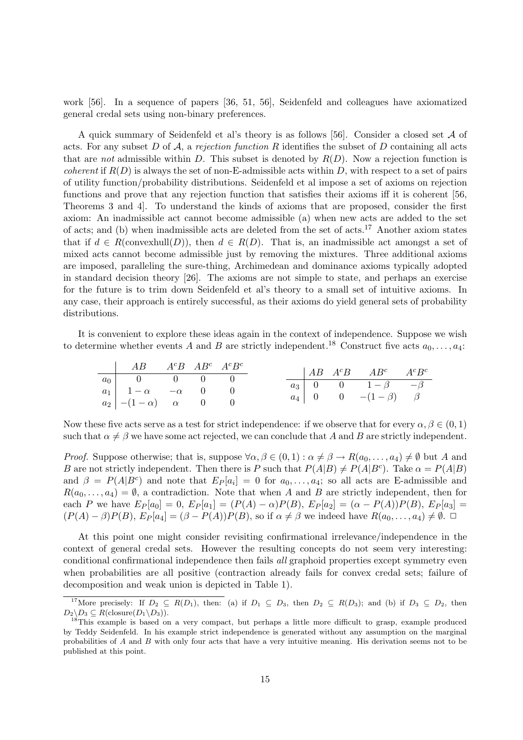work [56]. In a sequence of papers [36, 51, 56], Seidenfeld and colleagues have axiomatized general credal sets using non-binary preferences.

A quick summary of Seidenfeld et al's theory is as follows [56]. Consider a closed set A of acts. For any subset D of A, a rejection function R identifies the subset of D containing all acts that are not admissible within D. This subset is denoted by  $R(D)$ . Now a rejection function is *coherent* if  $R(D)$  is always the set of non-E-admissible acts within D, with respect to a set of pairs of utility function/probability distributions. Seidenfeld et al impose a set of axioms on rejection functions and prove that any rejection function that satisfies their axioms iff it is coherent [56, Theorems 3 and 4]. To understand the kinds of axioms that are proposed, consider the first axiom: An inadmissible act cannot become admissible (a) when new acts are added to the set of acts; and (b) when inadmissible acts are deleted from the set of acts.<sup>17</sup> Another axiom states that if  $d \in R(\text{convexhull}(D))$ , then  $d \in R(D)$ . That is, an inadmissible act amongst a set of mixed acts cannot become admissible just by removing the mixtures. Three additional axioms are imposed, paralleling the sure-thing, Archimedean and dominance axioms typically adopted in standard decision theory [26]. The axioms are not simple to state, and perhaps an exercise for the future is to trim down Seidenfeld et al's theory to a small set of intuitive axioms. In any case, their approach is entirely successful, as their axioms do yield general sets of probability distributions.

It is convenient to explore these ideas again in the context of independence. Suppose we wish to determine whether events A and B are strictly independent.<sup>18</sup> Construct five acts  $a_0, \ldots, a_4$ :

| $AB \t AB^c AB^c A^c B^c$                           |  |  |  | $AB \tA^cB \tAB^c \tA^cB^c$                                                                                                                 |  |
|-----------------------------------------------------|--|--|--|---------------------------------------------------------------------------------------------------------------------------------------------|--|
| $a_0$   0 0 0 0 0                                   |  |  |  |                                                                                                                                             |  |
| $a_1$   $1-\alpha$ $-\alpha$ 0 0                    |  |  |  | $a_3 \begin{vmatrix} 0 & 0 & 1-\beta & -\beta \end{vmatrix}$<br>$a_4 \begin{array}{ c c c } \hline 0 & 0 & - (1-\beta) & \beta \end{array}$ |  |
| $a_2 \mid -(1-\alpha) \quad \alpha \quad 0 \quad 0$ |  |  |  |                                                                                                                                             |  |

Now these five acts serve as a test for strict independence: if we observe that for every  $\alpha, \beta \in (0, 1)$ such that  $\alpha \neq \beta$  we have some act rejected, we can conclude that A and B are strictly independent.

*Proof.* Suppose otherwise; that is, suppose  $\forall \alpha, \beta \in (0,1) : \alpha \neq \beta \rightarrow R(a_0, \ldots, a_4) \neq \emptyset$  but A and B are not strictly independent. Then there is P such that  $P(A|B) \neq P(A|B^c)$ . Take  $\alpha = P(A|B)$ and  $\beta = P(A|B^c)$  and note that  $E_P[a_i] = 0$  for  $a_0, \ldots, a_4$ ; so all acts are E-admissible and  $R(a_0, \ldots, a_4) = \emptyset$ , a contradiction. Note that when A and B are strictly independent, then for each P we have  $E_P[a_0] = 0$ ,  $E_P[a_1] = (P(A) - \alpha)P(B)$ ,  $E_P[a_2] = (\alpha - P(A))P(B)$ ,  $E_P[a_3] =$  $(P(A) - \beta)P(B), E_P[a_4] = (\beta - P(A))P(B)$ , so if  $\alpha \neq \beta$  we indeed have  $R(a_0, \ldots, a_4) \neq \emptyset$ .

At this point one might consider revisiting confirmational irrelevance/independence in the context of general credal sets. However the resulting concepts do not seem very interesting: conditional confirmational independence then fails all graphoid properties except symmetry even when probabilities are all positive (contraction already fails for convex credal sets; failure of decomposition and weak union is depicted in Table 1).

<sup>&</sup>lt;sup>17</sup>More precisely: If  $D_2 \subseteq R(D_1)$ , then: (a) if  $D_1 \subseteq D_3$ , then  $D_2 \subseteq R(D_3)$ ; and (b) if  $D_3 \subseteq D_2$ , then  $D_2 \backslash D_3 \subseteq R(\text{closure}(D_1 \backslash D_3)).$ 

<sup>&</sup>lt;sup>8</sup>This example is based on a very compact, but perhaps a little more difficult to grasp, example produced by Teddy Seidenfeld. In his example strict independence is generated without any assumption on the marginal probabilities of A and B with only four acts that have a very intuitive meaning. His derivation seems not to be published at this point.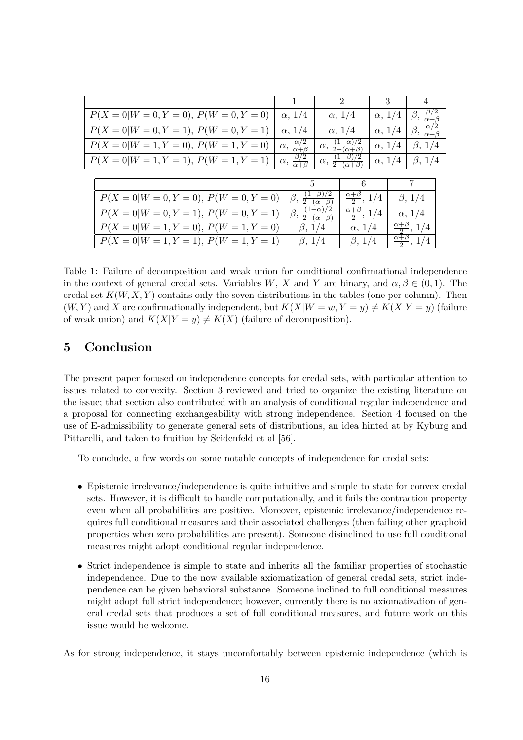|                                          | $\mathbf{1}$                            | $\mathcal{D}_{\mathcal{L}}$                     |                                                | 3                |                                   |                                        |
|------------------------------------------|-----------------------------------------|-------------------------------------------------|------------------------------------------------|------------------|-----------------------------------|----------------------------------------|
| $P(X = 0 W = 0, Y = 0), P(W = 0, Y = 0)$ | $\alpha$ , $1/4$                        | $\alpha$ , $1/4$                                |                                                | $\alpha$ , $1/4$ |                                   | $\beta, \frac{\beta/2}{\alpha+\beta}$  |
| $P(X = 0 W = 0, Y = 1), P(W = 0, Y = 1)$ | $\alpha$ , $1/4$                        | $\alpha$ , $1/4$                                |                                                | $\alpha$ , $1/4$ |                                   | $\beta, \frac{\alpha/2}{\alpha+\beta}$ |
| $P(X = 0 W = 1, Y = 0), P(W = 1, Y = 0)$ | $\alpha, \frac{\alpha/2}{\alpha+\beta}$ | $\alpha, \frac{(1-\alpha)/2}{2-(\alpha+\beta)}$ |                                                |                  | $\alpha$ , $1/4$<br>$\beta$ , 1/4 |                                        |
| $P(X = 0 W = 1, Y = 1), P(W = 1, Y = 1)$ | $\alpha, \frac{\beta/2}{\alpha+\beta}$  |                                                 | $\alpha, \frac{(1-\beta)/2}{2-(\alpha+\beta)}$ |                  | $\alpha$ , $1/4$                  | $\beta$ , 1/4                          |
|                                          |                                         |                                                 |                                                |                  |                                   |                                        |
|                                          | $\mathbf{5}$                            |                                                 | 6                                              |                  |                                   | $\overline{7}$                         |
| $P(X = 0 W = 0, Y = 0), P(W = 0, Y = 0)$ | $\beta,$                                | $\frac{(1-\beta)/2}{2-(\alpha+\beta)}$          | $\frac{\alpha+\beta}{2}$ , 1/4                 |                  | $\beta$ , 1/4                     |                                        |
| $P(X = 0 W = 0, Y = 1), P(W = 0, Y = 1)$ | $\beta,$                                | $(1-\alpha)/2$<br>$\frac{1}{2-(\alpha+\beta)}$  | $\frac{\alpha+\beta}{2}$ , 1/4                 |                  | $\alpha$ , $1/4$                  |                                        |
| $P(X=0 W=1, Y=0), P(W=1, Y=0)$           |                                         | $\beta$ , 1/4                                   | $\alpha$ , $1/4$                               |                  | $\frac{\alpha+\beta}{2}$ , 1/4    |                                        |
| $P(X = 0 W = 1, Y = 1), P(W = 1, Y = 1)$ | $\beta$ , 1/4                           |                                                 | $\beta$ , 1/4                                  |                  | $\frac{\alpha+\beta}{2}$ , 1/4    |                                        |

Table 1: Failure of decomposition and weak union for conditional confirmational independence in the context of general credal sets. Variables W, X and Y are binary, and  $\alpha, \beta \in (0,1)$ . The credal set  $K(W, X, Y)$  contains only the seven distributions in the tables (one per column). Then  $(W, Y)$  and X are confirmationally independent, but  $K(X|W = w, Y = y) \neq K(X|Y = y)$  (failure of weak union) and  $K(X|Y = y) \neq K(X)$  (failure of decomposition).

# 5 Conclusion

The present paper focused on independence concepts for credal sets, with particular attention to issues related to convexity. Section 3 reviewed and tried to organize the existing literature on the issue; that section also contributed with an analysis of conditional regular independence and a proposal for connecting exchangeability with strong independence. Section 4 focused on the use of E-admissibility to generate general sets of distributions, an idea hinted at by Kyburg and Pittarelli, and taken to fruition by Seidenfeld et al [56].

To conclude, a few words on some notable concepts of independence for credal sets:

- Epistemic irrelevance/independence is quite intuitive and simple to state for convex credal sets. However, it is difficult to handle computationally, and it fails the contraction property even when all probabilities are positive. Moreover, epistemic irrelevance/independence requires full conditional measures and their associated challenges (then failing other graphoid properties when zero probabilities are present). Someone disinclined to use full conditional measures might adopt conditional regular independence.
- Strict independence is simple to state and inherits all the familiar properties of stochastic independence. Due to the now available axiomatization of general credal sets, strict independence can be given behavioral substance. Someone inclined to full conditional measures might adopt full strict independence; however, currently there is no axiomatization of general credal sets that produces a set of full conditional measures, and future work on this issue would be welcome.

As for strong independence, it stays uncomfortably between epistemic independence (which is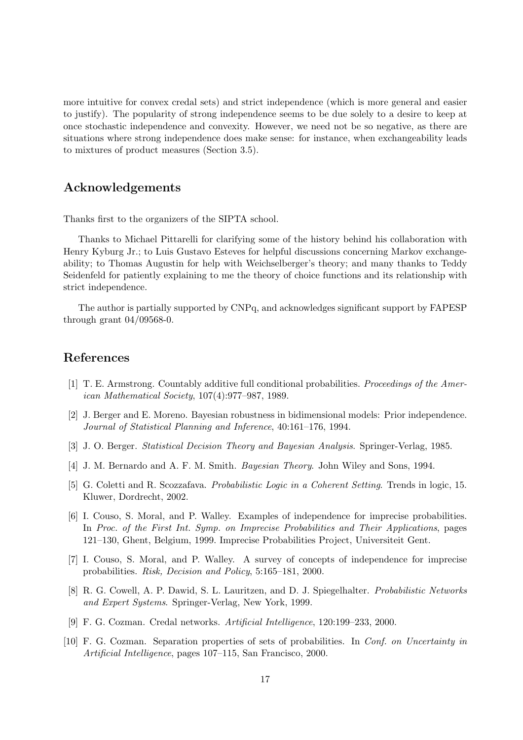more intuitive for convex credal sets) and strict independence (which is more general and easier to justify). The popularity of strong independence seems to be due solely to a desire to keep at once stochastic independence and convexity. However, we need not be so negative, as there are situations where strong independence does make sense: for instance, when exchangeability leads to mixtures of product measures (Section 3.5).

# Acknowledgements

Thanks first to the organizers of the SIPTA school.

Thanks to Michael Pittarelli for clarifying some of the history behind his collaboration with Henry Kyburg Jr.; to Luis Gustavo Esteves for helpful discussions concerning Markov exchangeability; to Thomas Augustin for help with Weichselberger's theory; and many thanks to Teddy Seidenfeld for patiently explaining to me the theory of choice functions and its relationship with strict independence.

The author is partially supported by CNPq, and acknowledges significant support by FAPESP through grant 04/09568-0.

# References

- [1] T. E. Armstrong. Countably additive full conditional probabilities. Proceedings of the American Mathematical Society, 107(4):977–987, 1989.
- [2] J. Berger and E. Moreno. Bayesian robustness in bidimensional models: Prior independence. Journal of Statistical Planning and Inference, 40:161–176, 1994.
- [3] J. O. Berger. Statistical Decision Theory and Bayesian Analysis. Springer-Verlag, 1985.
- [4] J. M. Bernardo and A. F. M. Smith. *Bayesian Theory*. John Wiley and Sons, 1994.
- [5] G. Coletti and R. Scozzafava. Probabilistic Logic in a Coherent Setting. Trends in logic, 15. Kluwer, Dordrecht, 2002.
- [6] I. Couso, S. Moral, and P. Walley. Examples of independence for imprecise probabilities. In Proc. of the First Int. Symp. on Imprecise Probabilities and Their Applications, pages 121–130, Ghent, Belgium, 1999. Imprecise Probabilities Project, Universiteit Gent.
- [7] I. Couso, S. Moral, and P. Walley. A survey of concepts of independence for imprecise probabilities. Risk, Decision and Policy, 5:165–181, 2000.
- [8] R. G. Cowell, A. P. Dawid, S. L. Lauritzen, and D. J. Spiegelhalter. Probabilistic Networks and Expert Systems. Springer-Verlag, New York, 1999.
- [9] F. G. Cozman. Credal networks. Artificial Intelligence, 120:199–233, 2000.
- [10] F. G. Cozman. Separation properties of sets of probabilities. In Conf. on Uncertainty in Artificial Intelligence, pages 107–115, San Francisco, 2000.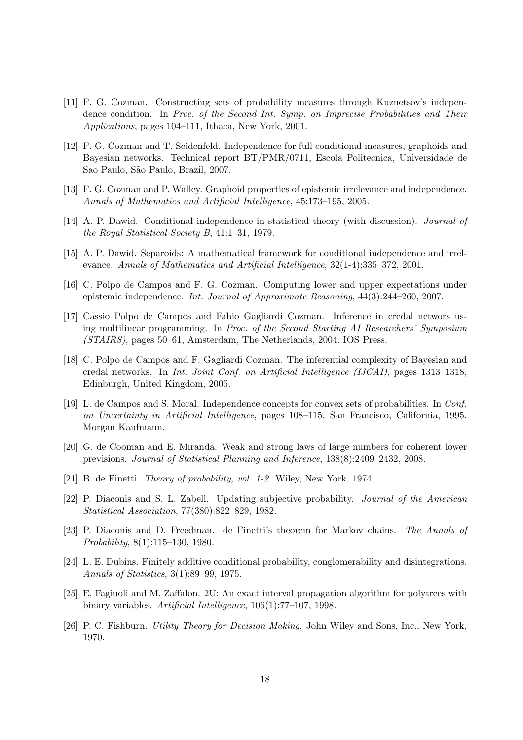- [11] F. G. Cozman. Constructing sets of probability measures through Kuznetsov's independence condition. In Proc. of the Second Int. Symp. on Imprecise Probabilities and Their Applications, pages 104–111, Ithaca, New York, 2001.
- [12] F. G. Cozman and T. Seidenfeld. Independence for full conditional measures, graphoids and Bayesian networks. Technical report BT/PMR/0711, Escola Politecnica, Universidade de Sao Paulo, São Paulo, Brazil, 2007.
- [13] F. G. Cozman and P. Walley. Graphoid properties of epistemic irrelevance and independence. Annals of Mathematics and Artificial Intelligence, 45:173–195, 2005.
- [14] A. P. Dawid. Conditional independence in statistical theory (with discussion). *Journal of* the Royal Statistical Society B, 41:1–31, 1979.
- [15] A. P. Dawid. Separoids: A mathematical framework for conditional independence and irrelevance. Annals of Mathematics and Artificial Intelligence, 32(1-4):335–372, 2001.
- [16] C. Polpo de Campos and F. G. Cozman. Computing lower and upper expectations under epistemic independence. Int. Journal of Approximate Reasoning, 44(3):244–260, 2007.
- [17] Cassio Polpo de Campos and Fabio Gagliardi Cozman. Inference in credal networs using multilinear programming. In Proc. of the Second Starting AI Researchers' Symposium (STAIRS), pages 50–61, Amsterdam, The Netherlands, 2004. IOS Press.
- [18] C. Polpo de Campos and F. Gagliardi Cozman. The inferential complexity of Bayesian and credal networks. In Int. Joint Conf. on Artificial Intelligence (IJCAI), pages 1313–1318, Edinburgh, United Kingdom, 2005.
- [19] L. de Campos and S. Moral. Independence concepts for convex sets of probabilities. In Conf. on Uncertainty in Artificial Intelligence, pages 108–115, San Francisco, California, 1995. Morgan Kaufmann.
- [20] G. de Cooman and E. Miranda. Weak and strong laws of large numbers for coherent lower previsions. Journal of Statistical Planning and Inference, 138(8):2409–2432, 2008.
- [21] B. de Finetti. Theory of probability, vol. 1-2. Wiley, New York, 1974.
- [22] P. Diaconis and S. L. Zabell. Updating subjective probability. Journal of the American Statistical Association, 77(380):822–829, 1982.
- [23] P. Diaconis and D. Freedman. de Finetti's theorem for Markov chains. The Annals of Probability, 8(1):115–130, 1980.
- [24] L. E. Dubins. Finitely additive conditional probability, conglomerability and disintegrations. Annals of Statistics, 3(1):89–99, 1975.
- [25] E. Fagiuoli and M. Zaffalon. 2U: An exact interval propagation algorithm for polytrees with binary variables. Artificial Intelligence, 106(1):77–107, 1998.
- [26] P. C. Fishburn. Utility Theory for Decision Making. John Wiley and Sons, Inc., New York, 1970.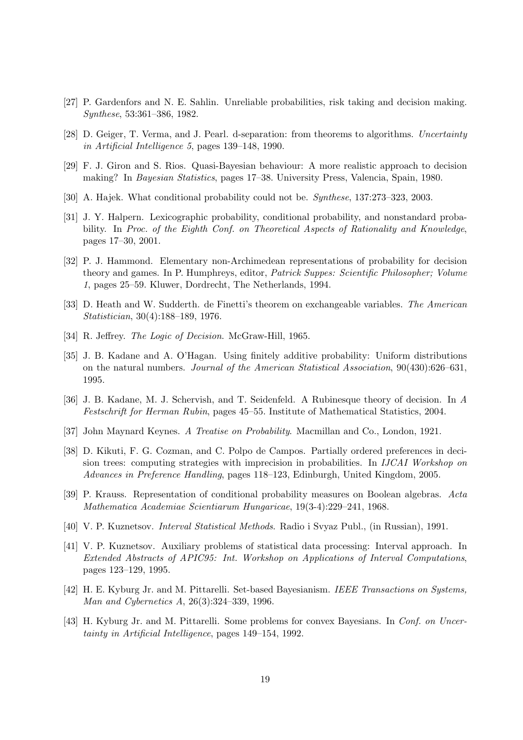- [27] P. Gardenfors and N. E. Sahlin. Unreliable probabilities, risk taking and decision making. Synthese, 53:361–386, 1982.
- [28] D. Geiger, T. Verma, and J. Pearl. d-separation: from theorems to algorithms. Uncertainty in Artificial Intelligence 5, pages 139–148, 1990.
- [29] F. J. Giron and S. Rios. Quasi-Bayesian behaviour: A more realistic approach to decision making? In Bayesian Statistics, pages 17–38. University Press, Valencia, Spain, 1980.
- [30] A. Hajek. What conditional probability could not be. Synthese, 137:273–323, 2003.
- [31] J. Y. Halpern. Lexicographic probability, conditional probability, and nonstandard probability. In Proc. of the Eighth Conf. on Theoretical Aspects of Rationality and Knowledge, pages 17–30, 2001.
- [32] P. J. Hammond. Elementary non-Archimedean representations of probability for decision theory and games. In P. Humphreys, editor, Patrick Suppes: Scientific Philosopher; Volume 1, pages 25–59. Kluwer, Dordrecht, The Netherlands, 1994.
- [33] D. Heath and W. Sudderth. de Finetti's theorem on exchangeable variables. The American Statistician, 30(4):188–189, 1976.
- [34] R. Jeffrey. The Logic of Decision. McGraw-Hill, 1965.
- [35] J. B. Kadane and A. O'Hagan. Using finitely additive probability: Uniform distributions on the natural numbers. Journal of the American Statistical Association, 90(430):626–631, 1995.
- [36] J. B. Kadane, M. J. Schervish, and T. Seidenfeld. A Rubinesque theory of decision. In A Festschrift for Herman Rubin, pages 45–55. Institute of Mathematical Statistics, 2004.
- [37] John Maynard Keynes. A Treatise on Probability. Macmillan and Co., London, 1921.
- [38] D. Kikuti, F. G. Cozman, and C. Polpo de Campos. Partially ordered preferences in decision trees: computing strategies with imprecision in probabilities. In IJCAI Workshop on Advances in Preference Handling, pages 118–123, Edinburgh, United Kingdom, 2005.
- [39] P. Krauss. Representation of conditional probability measures on Boolean algebras. Acta Mathematica Academiae Scientiarum Hungaricae, 19(3-4):229–241, 1968.
- [40] V. P. Kuznetsov. Interval Statistical Methods. Radio i Svyaz Publ., (in Russian), 1991.
- [41] V. P. Kuznetsov. Auxiliary problems of statistical data processing: Interval approach. In Extended Abstracts of APIC95: Int. Workshop on Applications of Interval Computations, pages 123–129, 1995.
- [42] H. E. Kyburg Jr. and M. Pittarelli. Set-based Bayesianism. IEEE Transactions on Systems, Man and Cybernetics A, 26(3):324–339, 1996.
- [43] H. Kyburg Jr. and M. Pittarelli. Some problems for convex Bayesians. In Conf. on Uncertainty in Artificial Intelligence, pages 149–154, 1992.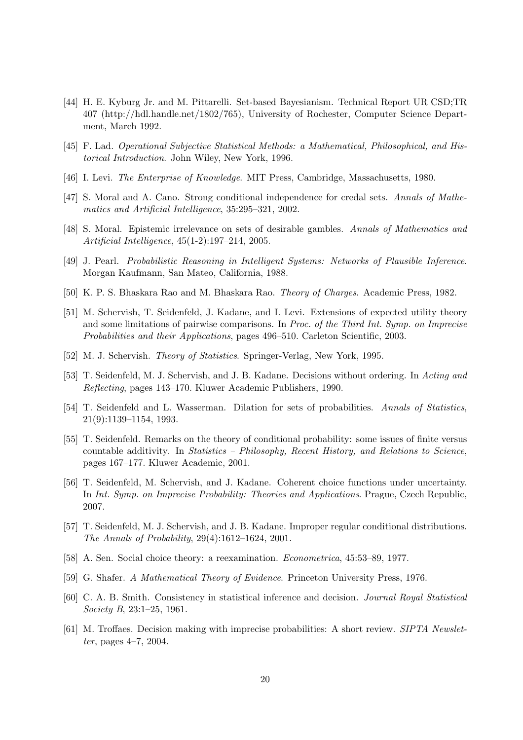- [44] H. E. Kyburg Jr. and M. Pittarelli. Set-based Bayesianism. Technical Report UR CSD;TR 407 (http://hdl.handle.net/1802/765), University of Rochester, Computer Science Department, March 1992.
- [45] F. Lad. Operational Subjective Statistical Methods: a Mathematical, Philosophical, and Historical Introduction. John Wiley, New York, 1996.
- [46] I. Levi. The Enterprise of Knowledge. MIT Press, Cambridge, Massachusetts, 1980.
- [47] S. Moral and A. Cano. Strong conditional independence for credal sets. Annals of Mathematics and Artificial Intelligence, 35:295–321, 2002.
- [48] S. Moral. Epistemic irrelevance on sets of desirable gambles. Annals of Mathematics and Artificial Intelligence, 45(1-2):197–214, 2005.
- [49] J. Pearl. Probabilistic Reasoning in Intelligent Systems: Networks of Plausible Inference. Morgan Kaufmann, San Mateo, California, 1988.
- [50] K. P. S. Bhaskara Rao and M. Bhaskara Rao. Theory of Charges. Academic Press, 1982.
- [51] M. Schervish, T. Seidenfeld, J. Kadane, and I. Levi. Extensions of expected utility theory and some limitations of pairwise comparisons. In Proc. of the Third Int. Symp. on Imprecise Probabilities and their Applications, pages 496–510. Carleton Scientific, 2003.
- [52] M. J. Schervish. Theory of Statistics. Springer-Verlag, New York, 1995.
- [53] T. Seidenfeld, M. J. Schervish, and J. B. Kadane. Decisions without ordering. In Acting and Reflecting, pages 143–170. Kluwer Academic Publishers, 1990.
- [54] T. Seidenfeld and L. Wasserman. Dilation for sets of probabilities. Annals of Statistics, 21(9):1139–1154, 1993.
- [55] T. Seidenfeld. Remarks on the theory of conditional probability: some issues of finite versus countable additivity. In Statistics – Philosophy, Recent History, and Relations to Science, pages 167–177. Kluwer Academic, 2001.
- [56] T. Seidenfeld, M. Schervish, and J. Kadane. Coherent choice functions under uncertainty. In Int. Symp. on Imprecise Probability: Theories and Applications. Prague, Czech Republic, 2007.
- [57] T. Seidenfeld, M. J. Schervish, and J. B. Kadane. Improper regular conditional distributions. The Annals of Probability, 29(4):1612–1624, 2001.
- [58] A. Sen. Social choice theory: a reexamination. Econometrica, 45:53–89, 1977.
- [59] G. Shafer. A Mathematical Theory of Evidence. Princeton University Press, 1976.
- [60] C. A. B. Smith. Consistency in statistical inference and decision. Journal Royal Statistical Society B, 23:1–25, 1961.
- [61] M. Troffaes. Decision making with imprecise probabilities: A short review. SIPTA Newsletter, pages 4–7, 2004.